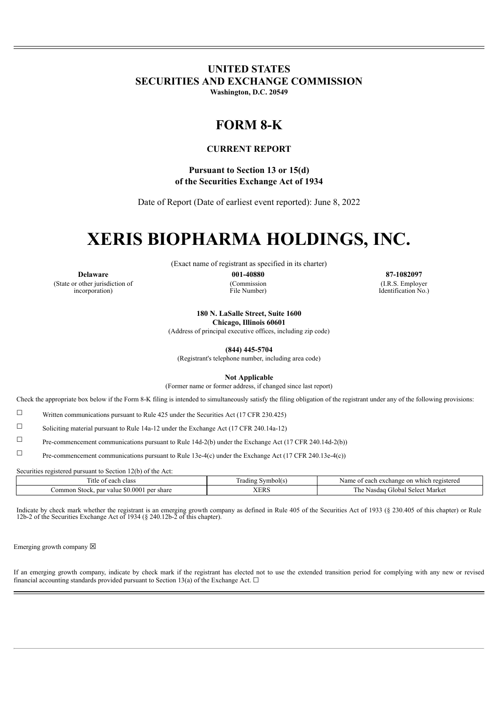## **UNITED STATES SECURITIES AND EXCHANGE COMMISSION**

**Washington, D.C. 20549**

## **FORM 8-K**

### **CURRENT REPORT**

**Pursuant to Section 13 or 15(d) of the Securities Exchange Act of 1934**

Date of Report (Date of earliest event reported): June 8, 2022

# **XERIS BIOPHARMA HOLDINGS, INC.**

(Exact name of registrant as specified in its charter)

**Delaware 001-40880 87-1082097** (State or other jurisdiction of incorporation)

(Commission File Number)

(I.R.S. Employer Identification No.)

**180 N. LaSalle Street, Suite 1600**

**Chicago, Illinois 60601** (Address of principal executive offices, including zip code)

**(844) 445-5704**

(Registrant's telephone number, including area code)

**Not Applicable**

(Former name or former address, if changed since last report)

Check the appropriate box below if the Form 8-K filing is intended to simultaneously satisfy the filing obligation of the registrant under any of the following provisions:

 $\Box$  Written communications pursuant to Rule 425 under the Securities Act (17 CFR 230.425)

☐ Soliciting material pursuant to Rule 14a-12 under the Exchange Act (17 CFR 240.14a-12)

☐ Pre-commencement communications pursuant to Rule 14d-2(b) under the Exchange Act (17 CFR 240.14d-2(b))

☐ Pre-commencement communications pursuant to Rule 13e-4(c) under the Exchange Act (17 CFR 240.13e-4(c))

Securities registered pursuant to Section 12(b) of the Act:

| <sup>1</sup> tle<br>each class<br>OТ                            | symbol(s)<br>rading | Name<br>i registered<br>each<br>exchange<br><sub>on</sub><br>which |
|-----------------------------------------------------------------|---------------------|--------------------------------------------------------------------|
| \$0.000<br>par<br>`ommon<br>per share<br>Stock.<br><b>value</b> | <b>VED</b><br>ALIAO | m.<br>Select Market<br>Cilobal<br>Nasdaq<br>ى 11                   |

Indicate by check mark whether the registrant is an emerging growth company as defined in Rule 405 of the Securities Act of 1933 (§ 230.405 of this chapter) or Rule 12b-2 of the Securities Exchange Act of 1934 (§ 240.12b-2 of this chapter).

Emerging growth company  $\boxtimes$ 

If an emerging growth company, indicate by check mark if the registrant has elected not to use the extended transition period for complying with any new or revised financial accounting standards provided pursuant to Section 13(a) of the Exchange Act.  $\Box$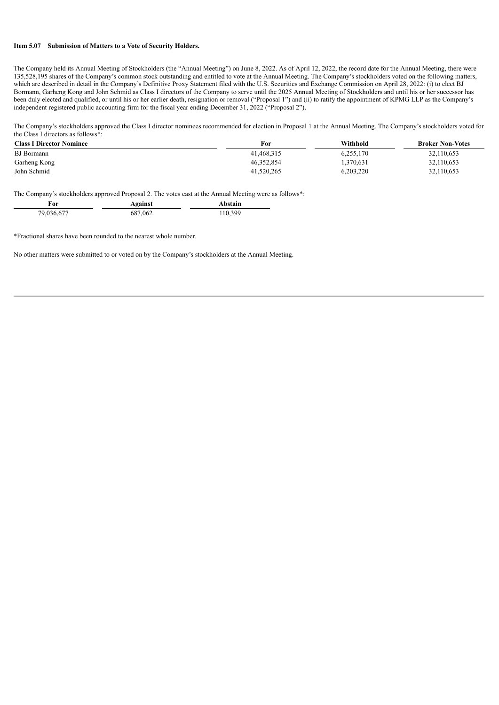#### **Item 5.07 Submission of Matters to a Vote of Security Holders.**

The Company held its Annual Meeting of Stockholders (the "Annual Meeting") on June 8, 2022. As of April 12, 2022, the record date for the Annual Meeting, there were 135,528,195 shares of the Company's common stock outstanding and entitled to vote at the Annual Meeting. The Company's stockholders voted on the following matters, which are described in detail in the Company's Definitive Proxy Statement filed with the U.S. Securities and Exchange Commission on April 28, 2022: (i) to elect BJ Bormann, Garheng Kong and John Schmid as Class I directors of the Company to serve until the 2025 Annual Meeting of Stockholders and until his or her successor has been duly elected and qualified, or until his or her earlier death, resignation or removal ("Proposal 1") and (ii) to ratify the appointment of KPMG LLP as the Company's independent registered public accounting firm for the fiscal year ending December 31, 2022 ("Proposal 2").

The Company's stockholders approved the Class I director nominees recommended for election in Proposal 1 at the Annual Meeting. The Company's stockholders voted for the Class I directors as follows\*:

| <b>Class I Director Nominee</b> | For        | Withhold  | <b>Broker Non-Votes</b> |
|---------------------------------|------------|-----------|-------------------------|
| <b>BJ</b> Bormann               | 41.468.315 | 6,255,170 | 32,110,653              |
| Garheng Kong                    | 46.352.854 | .370,631  | 32,110,653              |
| John Schmid                     | 41,520,265 | 6,203,220 | 32,110,653              |

The Company's stockholders approved Proposal 2. The votes cast at the Annual Meeting were as follows\*:

| r'or       | Against | Abstain |
|------------|---------|---------|
| 79,036,677 | 687,062 | 110,399 |

\*Fractional shares have been rounded to the nearest whole number.

No other matters were submitted to or voted on by the Company's stockholders at the Annual Meeting.